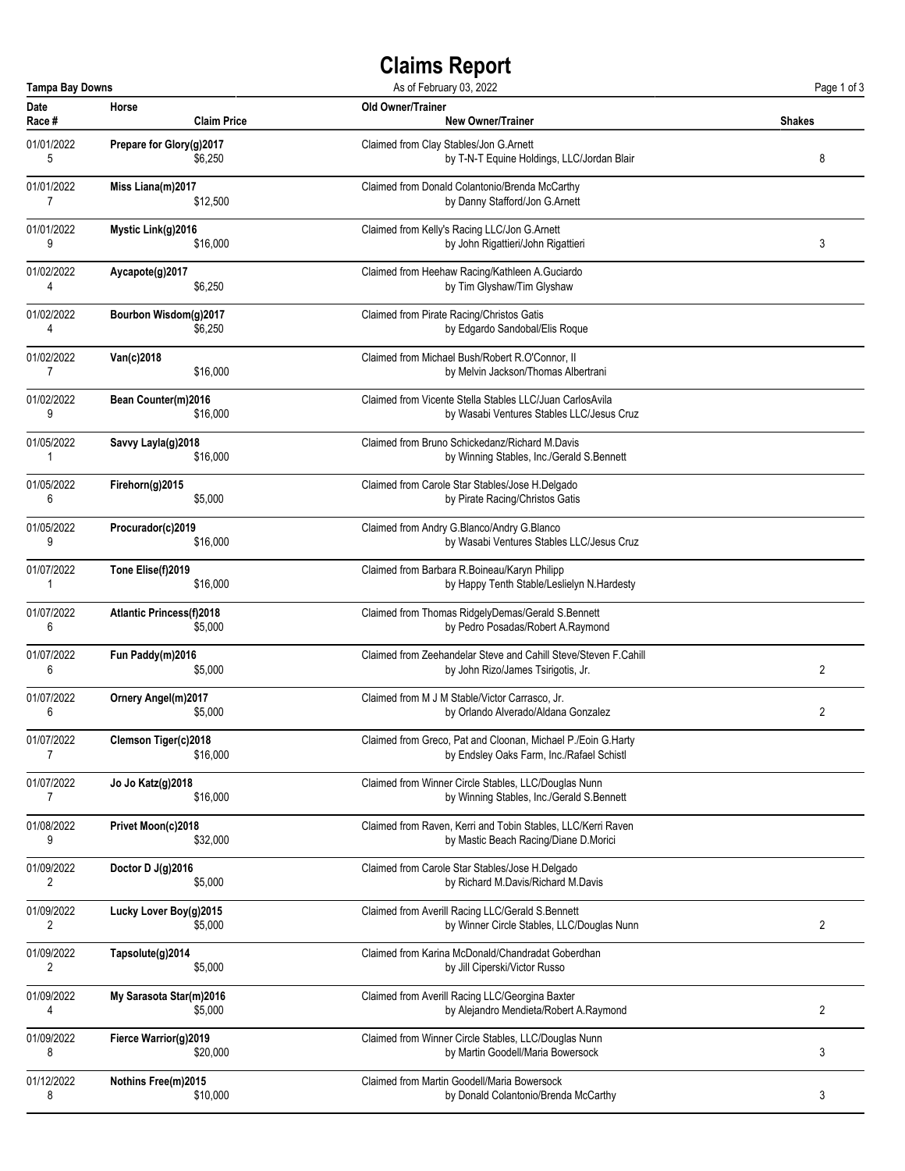## **Claims Report**

| <b>Tampa Bay Downs</b><br>As of February 03, 2022 |                                 |                                                                 | Page 1 of 3    |
|---------------------------------------------------|---------------------------------|-----------------------------------------------------------------|----------------|
| Date                                              | Horse                           | Old Owner/Trainer                                               | <b>Shakes</b>  |
| Race #                                            | <b>Claim Price</b>              | <b>New Owner/Trainer</b>                                        |                |
| 01/01/2022                                        | Prepare for Glory(g)2017        | Claimed from Clay Stables/Jon G.Arnett                          | 8              |
| 5                                                 | \$6,250                         | by T-N-T Equine Holdings, LLC/Jordan Blair                      |                |
| 01/01/2022                                        | Miss Liana(m)2017               | Claimed from Donald Colantonio/Brenda McCarthy                  |                |
| $\overline{7}$                                    | \$12,500                        | by Danny Stafford/Jon G.Arnett                                  |                |
| 01/01/2022                                        | Mystic Link(g)2016              | Claimed from Kelly's Racing LLC/Jon G.Arnett                    | 3              |
| 9                                                 | \$16,000                        | by John Rigattieri/John Rigattieri                              |                |
| 01/02/2022                                        | Aycapote(g)2017                 | Claimed from Heehaw Racing/Kathleen A.Guciardo                  |                |
| 4                                                 | \$6,250                         | by Tim Glyshaw/Tim Glyshaw                                      |                |
| 01/02/2022                                        | Bourbon Wisdom(g)2017           | Claimed from Pirate Racing/Christos Gatis                       |                |
| 4                                                 | \$6,250                         | by Edgardo Sandobal/Elis Roque                                  |                |
| 01/02/2022                                        | Van(c)2018                      | Claimed from Michael Bush/Robert R.O'Connor, II                 |                |
| $\overline{7}$                                    | \$16,000                        | by Melvin Jackson/Thomas Albertrani                             |                |
| 01/02/2022                                        | Bean Counter(m)2016             | Claimed from Vicente Stella Stables LLC/Juan CarlosAvila        |                |
| 9                                                 | \$16,000                        | by Wasabi Ventures Stables LLC/Jesus Cruz                       |                |
| 01/05/2022                                        | Savvy Layla(g)2018              | Claimed from Bruno Schickedanz/Richard M.Davis                  |                |
| 1                                                 | \$16,000                        | by Winning Stables, Inc./Gerald S.Bennett                       |                |
| 01/05/2022                                        | Firehorn(g)2015                 | Claimed from Carole Star Stables/Jose H.Delgado                 |                |
| 6                                                 | \$5,000                         | by Pirate Racing/Christos Gatis                                 |                |
| 01/05/2022                                        | Procurador(c)2019               | Claimed from Andry G.Blanco/Andry G.Blanco                      |                |
| 9                                                 | \$16,000                        | by Wasabi Ventures Stables LLC/Jesus Cruz                       |                |
| 01/07/2022                                        | Tone Elise(f)2019               | Claimed from Barbara R.Boineau/Karyn Philipp                    |                |
| 1                                                 | \$16,000                        | by Happy Tenth Stable/Leslielyn N.Hardesty                      |                |
| 01/07/2022                                        | <b>Atlantic Princess(f)2018</b> | Claimed from Thomas RidgelyDemas/Gerald S.Bennett               |                |
| 6                                                 | \$5,000                         | by Pedro Posadas/Robert A.Raymond                               |                |
| 01/07/2022                                        | Fun Paddy(m)2016                | Claimed from Zeehandelar Steve and Cahill Steve/Steven F.Cahill | 2              |
| 6                                                 | \$5,000                         | by John Rizo/James Tsirigotis, Jr.                              |                |
| 01/07/2022                                        | Ornery Angel(m)2017             | Claimed from M J M Stable/Victor Carrasco, Jr.                  | 2              |
| 6                                                 | \$5,000                         | by Orlando Alverado/Aldana Gonzalez                             |                |
| 01/07/2022                                        | Clemson Tiger(c)2018            | Claimed from Greco, Pat and Cloonan, Michael P./Eoin G.Harty    |                |
| 7                                                 | \$16,000                        | by Endsley Oaks Farm, Inc./Rafael Schistl                       |                |
| 01/07/2022                                        | <b>Jo Jo Katz(g)2018</b>        | Claimed from Winner Circle Stables, LLC/Douglas Nunn            |                |
| 7                                                 | \$16,000                        | by Winning Stables, Inc./Gerald S.Bennett                       |                |
| 01/08/2022                                        | Privet Moon(c)2018              | Claimed from Raven, Kerri and Tobin Stables, LLC/Kerri Raven    |                |
| 9                                                 | \$32,000                        | by Mastic Beach Racing/Diane D.Morici                           |                |
| 01/09/2022                                        | Doctor D J(g)2016               | Claimed from Carole Star Stables/Jose H.Delgado                 |                |
| 2                                                 | \$5,000                         | by Richard M.Davis/Richard M.Davis                              |                |
| 01/09/2022                                        | Lucky Lover Boy(g)2015          | Claimed from Averill Racing LLC/Gerald S.Bennett                | $\overline{c}$ |
| $\overline{2}$                                    | \$5,000                         | by Winner Circle Stables, LLC/Douglas Nunn                      |                |
| 01/09/2022                                        | Tapsolute(g)2014                | Claimed from Karina McDonald/Chandradat Goberdhan               |                |
| 2                                                 | \$5,000                         | by Jill Ciperski/Victor Russo                                   |                |
| 01/09/2022                                        | My Sarasota Star(m)2016         | Claimed from Averill Racing LLC/Georgina Baxter                 | 2              |
| 4                                                 | \$5,000                         | by Alejandro Mendieta/Robert A.Raymond                          |                |
| 01/09/2022                                        | Fierce Warrior(g)2019           | Claimed from Winner Circle Stables, LLC/Douglas Nunn            | 3              |
| 8                                                 | \$20,000                        | by Martin Goodell/Maria Bowersock                               |                |
| 01/12/2022                                        | Nothins Free(m)2015             | Claimed from Martin Goodell/Maria Bowersock                     | 3              |
| 8                                                 | \$10,000                        | by Donald Colantonio/Brenda McCarthy                            |                |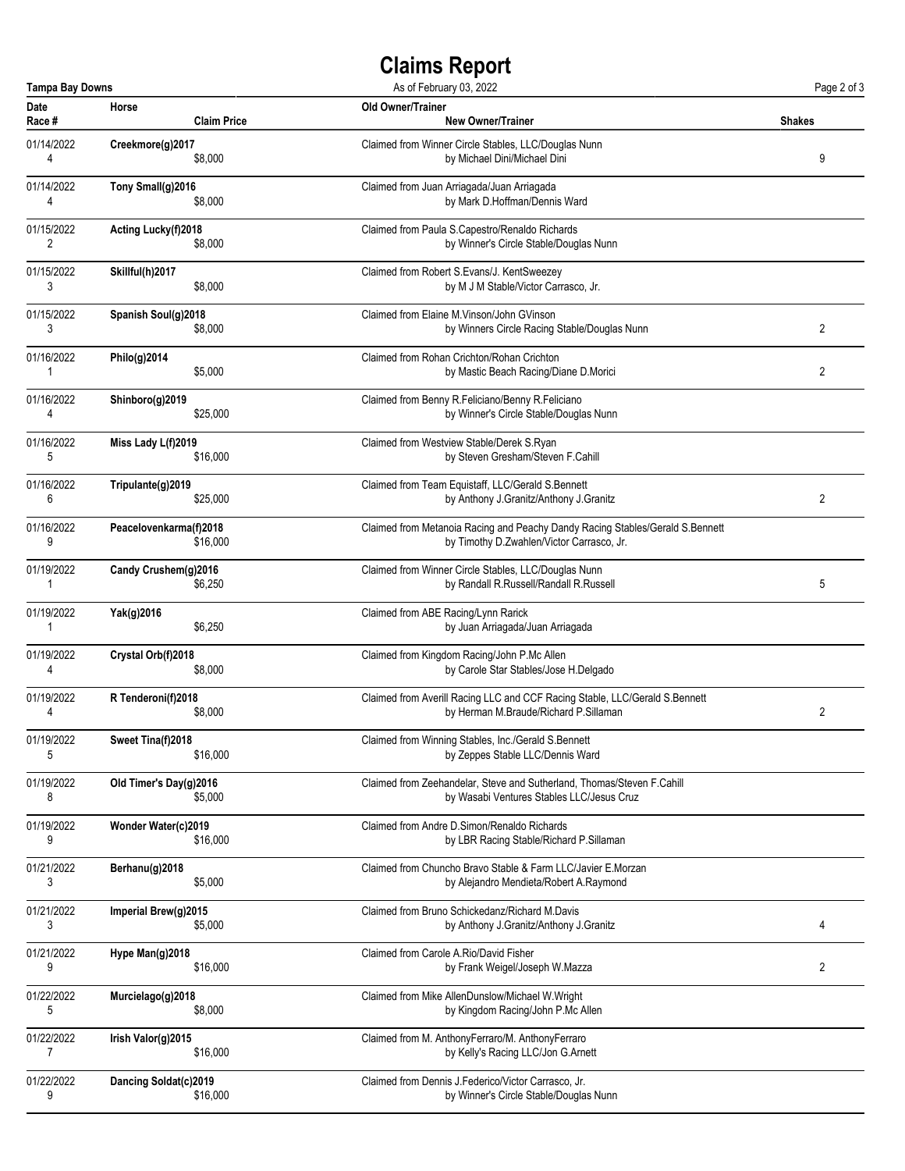## **Claims Report**

| <b>Tampa Bay Downs</b><br>As of February 03, 2022 |                        |                                                                               | Page 2 of 3 |
|---------------------------------------------------|------------------------|-------------------------------------------------------------------------------|-------------|
| Date                                              | Horse                  | <b>Old Owner/Trainer</b>                                                      | Shakes      |
| Race #                                            | <b>Claim Price</b>     | <b>New Owner/Trainer</b>                                                      |             |
| 01/14/2022                                        | Creekmore(g)2017       | Claimed from Winner Circle Stables, LLC/Douglas Nunn                          | 9           |
| 4                                                 | \$8,000                | by Michael Dini/Michael Dini                                                  |             |
| 01/14/2022                                        | Tony Small(g)2016      | Claimed from Juan Arriagada/Juan Arriagada                                    |             |
| 4                                                 | \$8,000                | by Mark D.Hoffman/Dennis Ward                                                 |             |
| 01/15/2022                                        | Acting Lucky(f)2018    | Claimed from Paula S.Capestro/Renaldo Richards                                |             |
| 2                                                 | \$8,000                | by Winner's Circle Stable/Douglas Nunn                                        |             |
| 01/15/2022                                        | Skillful(h)2017        | Claimed from Robert S.Evans/J. KentSweezey                                    |             |
| 3                                                 | \$8,000                | by M J M Stable/Victor Carrasco, Jr.                                          |             |
| 01/15/2022                                        | Spanish Soul(g)2018    | Claimed from Elaine M. Vinson/John GVinson                                    | 2           |
| 3                                                 | \$8,000                | by Winners Circle Racing Stable/Douglas Nunn                                  |             |
| 01/16/2022                                        | Philo(g)2014           | Claimed from Rohan Crichton/Rohan Crichton                                    | 2           |
| 1                                                 | \$5,000                | by Mastic Beach Racing/Diane D.Morici                                         |             |
| 01/16/2022                                        | Shinboro(g)2019        | Claimed from Benny R.Feliciano/Benny R.Feliciano                              |             |
| 4                                                 | \$25,000               | by Winner's Circle Stable/Douglas Nunn                                        |             |
| 01/16/2022                                        | Miss Lady L(f)2019     | Claimed from Westview Stable/Derek S.Ryan                                     |             |
| 5                                                 | \$16,000               | by Steven Gresham/Steven F.Cahill                                             |             |
| 01/16/2022                                        | Tripulante(g)2019      | Claimed from Team Equistaff, LLC/Gerald S.Bennett                             | 2           |
| 6                                                 | \$25,000               | by Anthony J.Granitz/Anthony J.Granitz                                        |             |
| 01/16/2022                                        | Peacelovenkarma(f)2018 | Claimed from Metanoia Racing and Peachy Dandy Racing Stables/Gerald S.Bennett |             |
| 9                                                 | \$16,000               | by Timothy D.Zwahlen/Victor Carrasco, Jr.                                     |             |
| 01/19/2022                                        | Candy Crushem(g)2016   | Claimed from Winner Circle Stables, LLC/Douglas Nunn                          | 5           |
| 1                                                 | \$6,250                | by Randall R.Russell/Randall R.Russell                                        |             |
| 01/19/2022                                        | Yak(g)2016             | Claimed from ABE Racing/Lynn Rarick                                           |             |
| 1                                                 | \$6,250                | by Juan Arriagada/Juan Arriagada                                              |             |
| 01/19/2022                                        | Crystal Orb(f)2018     | Claimed from Kingdom Racing/John P.Mc Allen                                   |             |
| 4                                                 | \$8,000                | by Carole Star Stables/Jose H.Delgado                                         |             |
| 01/19/2022                                        | R Tenderoni(f)2018     | Claimed from Averill Racing LLC and CCF Racing Stable, LLC/Gerald S.Bennett   | 2           |
| 4                                                 | \$8,000                | by Herman M.Braude/Richard P.Sillaman                                         |             |
| 01/19/2022                                        | Sweet Tina(f)2018      | Claimed from Winning Stables, Inc./Gerald S.Bennett                           |             |
| 5                                                 | \$16,000               | by Zeppes Stable LLC/Dennis Ward                                              |             |
| 01/19/2022                                        | Old Timer's Day(g)2016 | Claimed from Zeehandelar, Steve and Sutherland, Thomas/Steven F.Cahill        |             |
| 8                                                 | \$5,000                | by Wasabi Ventures Stables LLC/Jesus Cruz                                     |             |
| 01/19/2022                                        | Wonder Water(c)2019    | Claimed from Andre D. Simon/Renaldo Richards                                  |             |
| 9                                                 | \$16,000               | by LBR Racing Stable/Richard P.Sillaman                                       |             |
| 01/21/2022                                        | Berhanu(g)2018         | Claimed from Chuncho Bravo Stable & Farm LLC/Javier E.Morzan                  |             |
| 3                                                 | \$5,000                | by Alejandro Mendieta/Robert A.Raymond                                        |             |
| 01/21/2022                                        | Imperial Brew(g)2015   | Claimed from Bruno Schickedanz/Richard M.Davis                                | 4           |
| 3                                                 | \$5,000                | by Anthony J.Granitz/Anthony J.Granitz                                        |             |
| 01/21/2022                                        | Hype Man(g)2018        | Claimed from Carole A.Rio/David Fisher                                        | 2           |
| 9                                                 | \$16,000               | by Frank Weigel/Joseph W.Mazza                                                |             |
| 01/22/2022                                        | Murcielago(g)2018      | Claimed from Mike AllenDunslow/Michael W.Wright                               |             |
| 5                                                 | \$8,000                | by Kingdom Racing/John P.Mc Allen                                             |             |
| 01/22/2022                                        | Irish Valor(g)2015     | Claimed from M. AnthonyFerraro/M. AnthonyFerraro                              |             |
| 7                                                 | \$16,000               | by Kelly's Racing LLC/Jon G.Arnett                                            |             |
| 01/22/2022                                        | Dancing Soldat(c)2019  | Claimed from Dennis J. Federico/Victor Carrasco, Jr.                          |             |
| 9                                                 | \$16,000               | by Winner's Circle Stable/Douglas Nunn                                        |             |